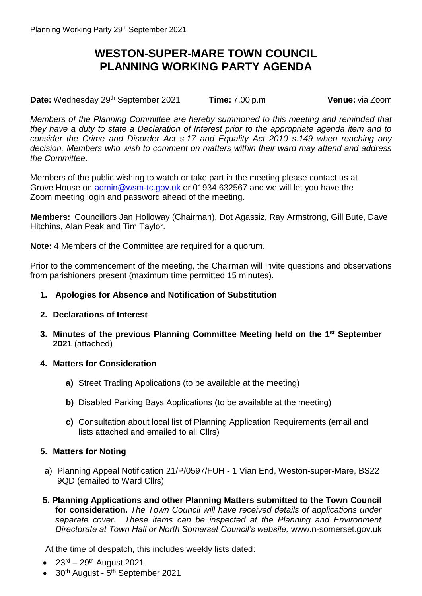## **WESTON-SUPER-MARE TOWN COUNCIL PLANNING WORKING PARTY AGENDA**

**Date:** Wednesday 29<sup>th</sup> September 2021 **Time:** 7.00 p.m **Venue:** via Zoom

*Members of the Planning Committee are hereby summoned to this meeting and reminded that they have a duty to state a Declaration of Interest prior to the appropriate agenda item and to consider the Crime and Disorder Act s.17 and Equality Act 2010 s.149 when reaching any decision. Members who wish to comment on matters within their ward may attend and address the Committee.*

Members of the public wishing to watch or take part in the meeting please contact us at Grove House on [admin@wsm-tc.gov.uk](mailto:admin@wsm-tc.gov.uk) or 01934 632567 and we will let you have the Zoom meeting login and password ahead of the meeting.

**Members:** Councillors Jan Holloway (Chairman), Dot Agassiz, Ray Armstrong, Gill Bute, Dave Hitchins, Alan Peak and Tim Taylor.

**Note:** 4 Members of the Committee are required for a quorum.

Prior to the commencement of the meeting, the Chairman will invite questions and observations from parishioners present (maximum time permitted 15 minutes).

## **1. Apologies for Absence and Notification of Substitution**

- **2. Declarations of Interest**
- **3. Minutes of the previous Planning Committee Meeting held on the 1 st September 2021** (attached)

## **4. Matters for Consideration**

- **a)** Street Trading Applications (to be available at the meeting)
- **b)** Disabled Parking Bays Applications (to be available at the meeting)
- **c)** Consultation about local list of Planning Application Requirements (email and lists attached and emailed to all Cllrs)

## **5. Matters for Noting**

- a) Planning Appeal Notification 21/P/0597/FUH 1 Vian End, Weston-super-Mare, BS22 9QD (emailed to Ward Cllrs)
- **5. Planning Applications and other Planning Matters submitted to the Town Council for consideration.** *The Town Council will have received details of applications under separate cover. These items can be inspected at the Planning and Environment Directorate at Town Hall or North Somerset Council's website,* www.n-somerset.gov.uk

At the time of despatch, this includes weekly lists dated:

- $\bullet$  23<sup>rd</sup> 29<sup>th</sup> August 2021
- 30<sup>th</sup> August 5<sup>th</sup> September 2021